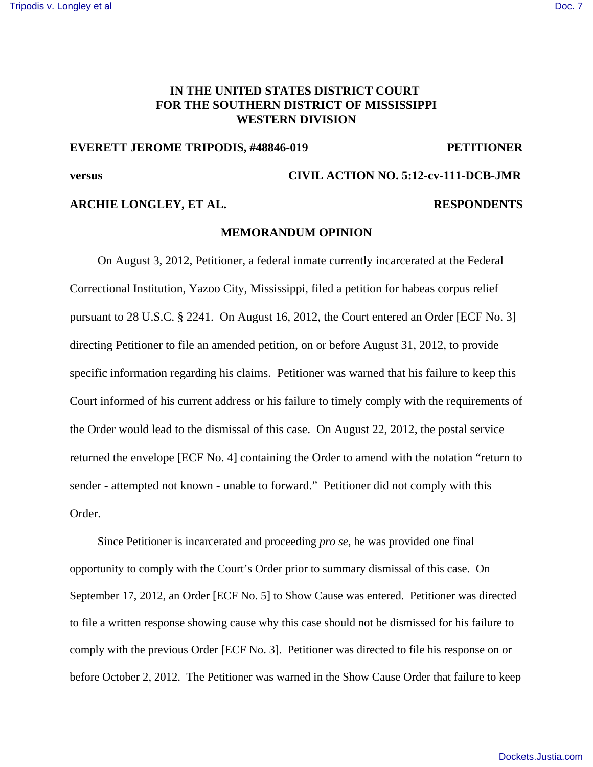### **IN THE UNITED STATES DISTRICT COURT FOR THE SOUTHERN DISTRICT OF MISSISSIPPI WESTERN DIVISION**

#### **EVERETT JEROME TRIPODIS, #48846-019 PETITIONER**

# **versus CIVIL ACTION NO. 5:12-cv-111-DCB-JMR**

## **ARCHIE LONGLEY, ET AL. RESPONDENTS**

#### **MEMORANDUM OPINION**

On August 3, 2012, Petitioner, a federal inmate currently incarcerated at the Federal Correctional Institution, Yazoo City, Mississippi, filed a petition for habeas corpus relief pursuant to 28 U.S.C. § 2241. On August 16, 2012, the Court entered an Order [ECF No. 3] directing Petitioner to file an amended petition, on or before August 31, 2012, to provide specific information regarding his claims. Petitioner was warned that his failure to keep this Court informed of his current address or his failure to timely comply with the requirements of the Order would lead to the dismissal of this case. On August 22, 2012, the postal service returned the envelope [ECF No. 4] containing the Order to amend with the notation "return to sender - attempted not known - unable to forward." Petitioner did not comply with this Order.

Since Petitioner is incarcerated and proceeding *pro se*, he was provided one final opportunity to comply with the Court's Order prior to summary dismissal of this case. On September 17, 2012, an Order [ECF No. 5] to Show Cause was entered. Petitioner was directed to file a written response showing cause why this case should not be dismissed for his failure to comply with the previous Order [ECF No. 3]. Petitioner was directed to file his response on or before October 2, 2012. The Petitioner was warned in the Show Cause Order that failure to keep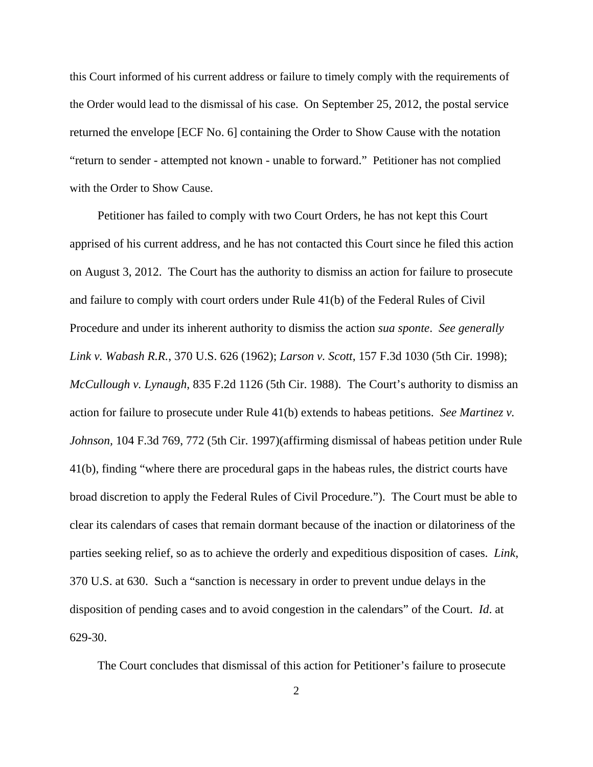this Court informed of his current address or failure to timely comply with the requirements of the Order would lead to the dismissal of his case. On September 25, 2012, the postal service returned the envelope [ECF No. 6] containing the Order to Show Cause with the notation "return to sender - attempted not known - unable to forward." Petitioner has not complied with the Order to Show Cause.

Petitioner has failed to comply with two Court Orders, he has not kept this Court apprised of his current address, and he has not contacted this Court since he filed this action on August 3, 2012. The Court has the authority to dismiss an action for failure to prosecute and failure to comply with court orders under Rule 41(b) of the Federal Rules of Civil Procedure and under its inherent authority to dismiss the action *sua sponte*. *See generally Link v. Wabash R.R.*, 370 U.S. 626 (1962); *Larson v. Scott*, 157 F.3d 1030 (5th Cir. 1998); *McCullough v. Lynaugh*, 835 F.2d 1126 (5th Cir. 1988). The Court's authority to dismiss an action for failure to prosecute under Rule 41(b) extends to habeas petitions. *See Martinez v. Johnson,* 104 F.3d 769, 772 (5th Cir. 1997)(affirming dismissal of habeas petition under Rule 41(b), finding "where there are procedural gaps in the habeas rules, the district courts have broad discretion to apply the Federal Rules of Civil Procedure."). The Court must be able to clear its calendars of cases that remain dormant because of the inaction or dilatoriness of the parties seeking relief, so as to achieve the orderly and expeditious disposition of cases. *Link*, 370 U.S. at 630. Such a "sanction is necessary in order to prevent undue delays in the disposition of pending cases and to avoid congestion in the calendars" of the Court. *Id*. at 629-30.

The Court concludes that dismissal of this action for Petitioner's failure to prosecute